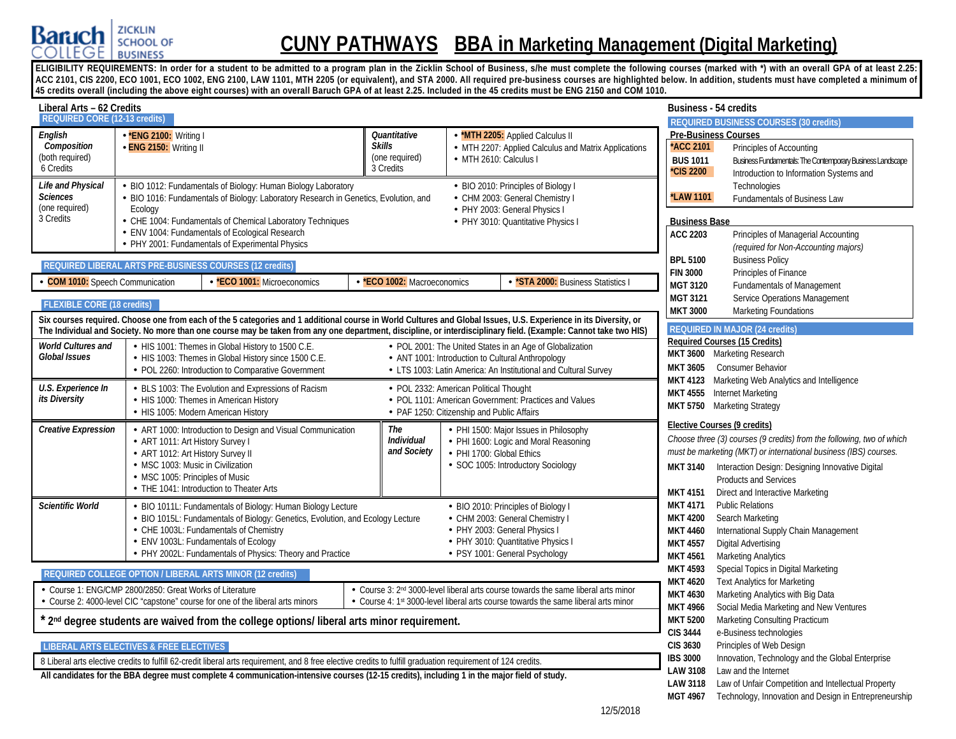

# **CUNY PATHWAYS BBA in Marketing Management (Digital Marketing)**

ELIGIBILITY REQUIREMENTS: In order for a student to be admitted to a program plan in the Zicklin School of Business, s/he must complete the following courses (marked with \*) with an overall GPA of at least 2.25: **ACC 2101, CIS 2200, ECO 1001, ECO 1002, ENG 2100, LAW 1101, MTH 2205 (or equivalent), and STA 2000. All required pre-business courses are highlighted below. In addition, students must have completed a minimum of 45 credits overall (including the above eight courses) with an overall Baruch GPA of at least 2.25. Included in the 45 credits must be ENG 2150 and COM 1010.**

| Liberal Arts – 62 Credits                                                  |                                                                                                                                                                                                                                                                                                                                      |                                                                                                                                                                              |                                                                                                                                                                                  | <b>Business - 54 credits</b>                                                                                                                                                                                                                                                                                                            |
|----------------------------------------------------------------------------|--------------------------------------------------------------------------------------------------------------------------------------------------------------------------------------------------------------------------------------------------------------------------------------------------------------------------------------|------------------------------------------------------------------------------------------------------------------------------------------------------------------------------|----------------------------------------------------------------------------------------------------------------------------------------------------------------------------------|-----------------------------------------------------------------------------------------------------------------------------------------------------------------------------------------------------------------------------------------------------------------------------------------------------------------------------------------|
| <b>REQUIRED CORE (12-13 credits)</b>                                       |                                                                                                                                                                                                                                                                                                                                      |                                                                                                                                                                              |                                                                                                                                                                                  | <b>REQUIRED BUSINESS COURSES (30 credits)</b>                                                                                                                                                                                                                                                                                           |
| English<br>Composition<br>(both required)<br>6 Credits                     | *ENG 2100: Writing I<br>- ENG 2150: Writing II                                                                                                                                                                                                                                                                                       | Quantitative<br><b>Skills</b><br>(one required)<br>3 Credits                                                                                                                 | *MTH 2205: Applied Calculus II<br>- MTH 2207: Applied Calculus and Matrix Applications<br>- MTH 2610: Calculus I                                                                 | <b>Pre-Business Courses</b><br><b>ACC 2101</b><br>Principles of Accounting<br>Business Fundamentals: The Contemporary Business Landscape<br><b>BUS 1011</b><br><b>CIS 2200</b><br>Introduction to Information Systems and                                                                                                               |
| Life and Physical<br><b>Sciences</b><br>(one required)<br>3 Credits        | BIO 1012: Fundamentals of Biology: Human Biology Laboratory<br>BIO 1016: Fundamentals of Biology: Laboratory Research in Genetics, Evolution, and<br>Ecology<br>- CHE 1004: Fundamentals of Chemical Laboratory Techniques<br>- ENV 1004: Fundamentals of Ecological Research<br>- PHY 2001: Fundamentals of Experimental Physics    |                                                                                                                                                                              | - BIO 2010: Principles of Biology I<br>- CHM 2003: General Chemistry I<br>· PHY 2003: General Physics I<br>- PHY 3010: Quantitative Physics I                                    | Technologies<br><b>*LAW 1101</b><br>Fundamentals of Business Law<br><b>Business Base</b><br>ACC 2203<br>Principles of Managerial Accounting<br>(required for Non-Accounting majors)                                                                                                                                                     |
|                                                                            | REQUIRED LIBERAL ARTS PRE-BUSINESS COURSES (12 credits)                                                                                                                                                                                                                                                                              |                                                                                                                                                                              |                                                                                                                                                                                  | <b>BPL 5100</b><br><b>Business Policy</b>                                                                                                                                                                                                                                                                                               |
| <b>COM 1010:</b> Speech Communication<br><b>FLEXIBLE CORE (18 credits)</b> | - *ECO 1001: Microeconomics                                                                                                                                                                                                                                                                                                          | *ECO 1002: Macroeconomics                                                                                                                                                    | *STA 2000: Business Statistics I                                                                                                                                                 | Principles of Finance<br><b>FIN 3000</b><br><b>MGT 3120</b><br><b>Fundamentals of Management</b><br><b>MGT 3121</b><br>Service Operations Management<br><b>MKT 3000</b><br><b>Marketing Foundations</b>                                                                                                                                 |
|                                                                            | Six courses required. Choose one from each of the 5 categories and 1 additional course in World Cultures and Global Issues, U.S. Experience in its Diversity, or<br>The Individual and Society. No more than one course may be taken from any one department, discipline, or interdisciplinary field. (Example: Cannot take two HIS) |                                                                                                                                                                              |                                                                                                                                                                                  | <b>REQUIRED IN MAJOR (24 credits)</b>                                                                                                                                                                                                                                                                                                   |
| <b>World Cultures and</b><br><b>Global Issues</b>                          | - HIS 1001: Themes in Global History to 1500 C.E.<br>- HIS 1003: Themes in Global History since 1500 C.E.<br>- POL 2260: Introduction to Comparative Government                                                                                                                                                                      |                                                                                                                                                                              | - POL 2001: The United States in an Age of Globalization<br>- ANT 1001: Introduction to Cultural Anthropology<br>- LTS 1003: Latin America: An Institutional and Cultural Survey | <b>Required Courses (15 Credits)</b><br>MKT 3600 Marketing Research<br><b>Consumer Behavior</b><br><b>MKT 3605</b>                                                                                                                                                                                                                      |
| U.S. Experience In<br>its Diversity                                        | BLS 1003: The Evolution and Expressions of Racism<br>- HIS 1000: Themes in American History<br>- HIS 1005: Modern American History                                                                                                                                                                                                   | MKT 4123 Marketing Web Analytics and Intelligence<br>MKT 4555 Internet Marketing<br>MKT 5750 Marketing Strategy                                                              |                                                                                                                                                                                  |                                                                                                                                                                                                                                                                                                                                         |
| <b>Creative Expression</b>                                                 | - ART 1000: Introduction to Design and Visual Communication<br>- ART 1011: Art History Survey I<br>- ART 1012: Art History Survey II<br>- MSC 1003: Music in Civilization<br>- MSC 1005: Principles of Music<br>THE 1041: Introduction to Theater Arts                                                                               | The<br><b>Individual</b><br>and Society                                                                                                                                      | PHI 1500: Major Issues in Philosophy<br>- PHI 1600: Logic and Moral Reasoning<br>PHI 1700: Global Ethics<br>· SOC 1005: Introductory Sociology                                   | Elective Courses (9 credits)<br>Choose three (3) courses (9 credits) from the following, two of which<br>must be marketing (MKT) or international business (IBS) courses.<br>Interaction Design: Designing Innovative Digital<br><b>MKT 3140</b><br><b>Products and Services</b><br><b>MKT 4151</b><br>Direct and Interactive Marketing |
| <b>Scientific World</b>                                                    | - BIO 1011L: Fundamentals of Biology: Human Biology Lecture<br>- BIO 1015L: Fundamentals of Biology: Genetics, Evolution, and Ecology Lecture<br>- CHE 1003L: Fundamentals of Chemistry<br>ENV 1003L: Fundamentals of Ecology<br>- PHY 2002L: Fundamentals of Physics: Theory and Practice                                           |                                                                                                                                                                              | - BIO 2010: Principles of Biology I<br>CHM 2003: General Chemistry I<br>- PHY 2003: General Physics I<br>- PHY 3010: Quantitative Physics I<br>- PSY 1001: General Psychology    | <b>MKT 4171</b><br><b>Public Relations</b><br><b>MKT 4200</b><br>Search Marketing<br><b>MKT 4460</b><br>International Supply Chain Management<br>Digital Advertising<br><b>MKT 4557</b><br><b>MKT 4561</b><br><b>Marketing Analytics</b>                                                                                                |
|                                                                            | REQUIRED COLLEGE OPTION / LIBERAL ARTS MINOR (12 credits)                                                                                                                                                                                                                                                                            |                                                                                                                                                                              |                                                                                                                                                                                  | <b>MKT 4593</b><br>Special Topics in Digital Marketing                                                                                                                                                                                                                                                                                  |
|                                                                            | Course 1: ENG/CMP 2800/2850: Great Works of Literature<br>Course 2: 4000-level CIC "capstone" course for one of the liberal arts minors                                                                                                                                                                                              | <b>MKT 4620</b><br><b>Text Analytics for Marketing</b><br>Marketing Analytics with Big Data<br><b>MKT 4630</b><br>Social Media Marketing and New Ventures<br><b>MKT 4966</b> |                                                                                                                                                                                  |                                                                                                                                                                                                                                                                                                                                         |
|                                                                            | 2 <sup>nd</sup> degree students are waived from the college options/liberal arts minor requirement.                                                                                                                                                                                                                                  |                                                                                                                                                                              |                                                                                                                                                                                  | <b>MKT 5200</b><br>Marketing Consulting Practicum<br><b>CIS 3444</b><br>e-Business technologies                                                                                                                                                                                                                                         |
|                                                                            | <b>LIBERAL ARTS ELECTIVES &amp; FREE ELECTIVES</b>                                                                                                                                                                                                                                                                                   |                                                                                                                                                                              |                                                                                                                                                                                  | Principles of Web Design<br><b>CIS 3630</b>                                                                                                                                                                                                                                                                                             |
|                                                                            | 8 Liberal arts elective credits to fulfill 62-credit liberal arts requirement, and 8 free elective credits to fulfill graduation requirement of 124 credits.                                                                                                                                                                         |                                                                                                                                                                              |                                                                                                                                                                                  | <b>IBS 3000</b><br>Innovation, Technology and the Global Enterprise<br>Law and the Internet<br><b>LAW 3108</b>                                                                                                                                                                                                                          |
|                                                                            | All candidates for the BBA degree must complete 4 communication-intensive courses (12-15 credits), including 1 in the major field of study.                                                                                                                                                                                          |                                                                                                                                                                              |                                                                                                                                                                                  | <b>LAW 3118</b><br>Law of Unfair Competition and Intellectual Property<br>Technology, Innovation and Design in Entrepreneurship<br>MGT 4967                                                                                                                                                                                             |